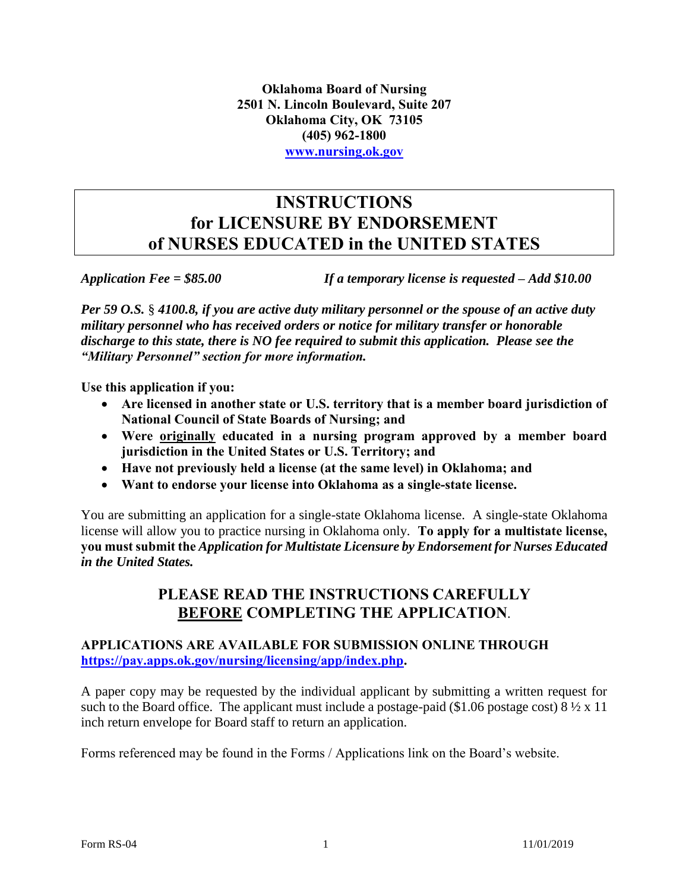**Oklahoma Board of Nursing 2501 N. Lincoln Boulevard, Suite 207 Oklahoma City, OK 73105 (405) 962-1800 [www.nursing.ok.gov](http://www.ok.gov/nursing)**

### **INSTRUCTIONS for LICENSURE BY ENDORSEMENT of NURSES EDUCATED in the UNITED STATES**

*Application Fee = \$85.00 If a temporary license is requested – Add \$10.00* 

*Per 59 O.S.* § *4100.8, if you are active duty military personnel or the spouse of an active duty military personnel who has received orders or notice for military transfer or honorable discharge to this state, there is NO fee required to submit this application. Please see the "Military Personnel" section for more information.* 

**Use this application if you:**

- **Are licensed in another state or U.S. territory that is a member board jurisdiction of National Council of State Boards of Nursing; and**
- **Were originally educated in a nursing program approved by a member board jurisdiction in the United States or U.S. Territory; and**
- **Have not previously held a license (at the same level) in Oklahoma; and**
- **Want to endorse your license into Oklahoma as a single-state license.**

You are submitting an application for a single-state Oklahoma license. A single-state Oklahoma license will allow you to practice nursing in Oklahoma only. **To apply for a multistate license, you must submit the** *Application for Multistate Licensure by Endorsement for Nurses Educated in the United States.*

### **PLEASE READ THE INSTRUCTIONS CAREFULLY BEFORE COMPLETING THE APPLICATION**.

### **APPLICATIONS ARE AVAILABLE FOR SUBMISSION ONLINE THROUGH [https://pay.apps.ok.gov/nursing/licensing/app/index.php.](https://pay.apps.ok.gov/nursing/licensing/app/index.php)**

A paper copy may be requested by the individual applicant by submitting a written request for such to the Board office. The applicant must include a postage-paid (\$1.06 postage cost)  $8\frac{1}{2} \times 11$ inch return envelope for Board staff to return an application.

Forms referenced may be found in the Forms / Applications link on the Board's website.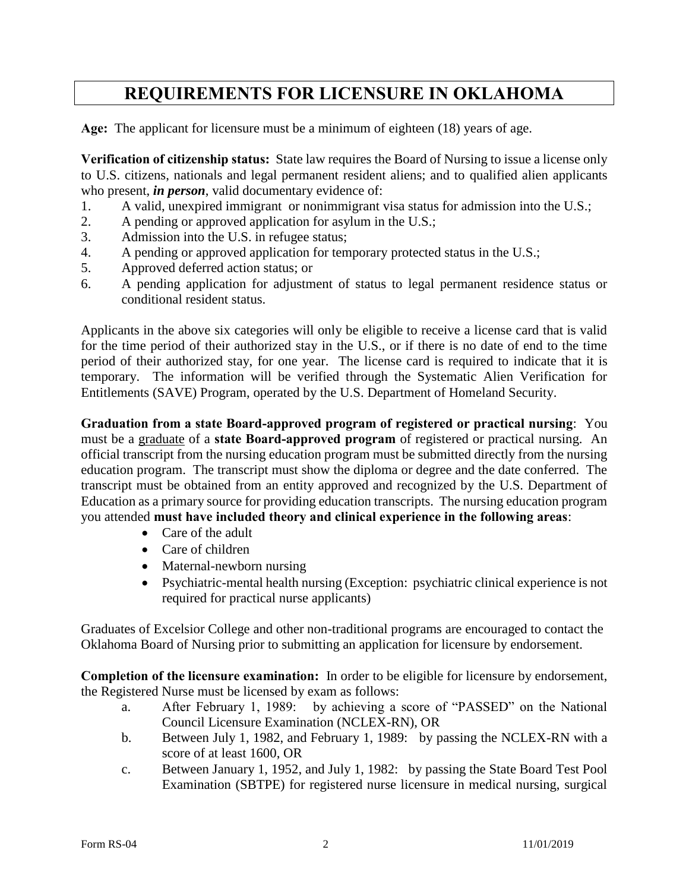## **REQUIREMENTS FOR LICENSURE IN OKLAHOMA**

**Age:** The applicant for licensure must be a minimum of eighteen (18) years of age.

**Verification of citizenship status:** State law requires the Board of Nursing to issue a license only to U.S. citizens, nationals and legal permanent resident aliens; and to qualified alien applicants who present, *in person*, valid documentary evidence of:

- 1. A valid, unexpired immigrant or nonimmigrant visa status for admission into the U.S.;
- 2. A pending or approved application for asylum in the U.S.;
- 3. Admission into the U.S. in refugee status;
- 4. A pending or approved application for temporary protected status in the U.S.;
- 5. Approved deferred action status; or
- 6. A pending application for adjustment of status to legal permanent residence status or conditional resident status.

Applicants in the above six categories will only be eligible to receive a license card that is valid for the time period of their authorized stay in the U.S., or if there is no date of end to the time period of their authorized stay, for one year. The license card is required to indicate that it is temporary. The information will be verified through the Systematic Alien Verification for Entitlements (SAVE) Program, operated by the U.S. Department of Homeland Security.

**Graduation from a state Board-approved program of registered or practical nursing**: You must be a graduate of a **state Board-approved program** of registered or practical nursing. An official transcript from the nursing education program must be submitted directly from the nursing education program. The transcript must show the diploma or degree and the date conferred. The transcript must be obtained from an entity approved and recognized by the U.S. Department of Education as a primary source for providing education transcripts. The nursing education program you attended **must have included theory and clinical experience in the following areas**:

- Care of the adult
- Care of children
- Maternal-newborn nursing
- Psychiatric-mental health nursing (Exception: psychiatric clinical experience is not required for practical nurse applicants)

Graduates of Excelsior College and other non-traditional programs are encouraged to contact the Oklahoma Board of Nursing prior to submitting an application for licensure by endorsement.

**Completion of the licensure examination:** In order to be eligible for licensure by endorsement, the Registered Nurse must be licensed by exam as follows:

- a. After February 1, 1989: by achieving a score of "PASSED" on the National Council Licensure Examination (NCLEX-RN), OR
- b. Between July 1, 1982, and February 1, 1989: by passing the NCLEX-RN with a score of at least 1600, OR
- c. Between January 1, 1952, and July 1, 1982: by passing the State Board Test Pool Examination (SBTPE) for registered nurse licensure in medical nursing, surgical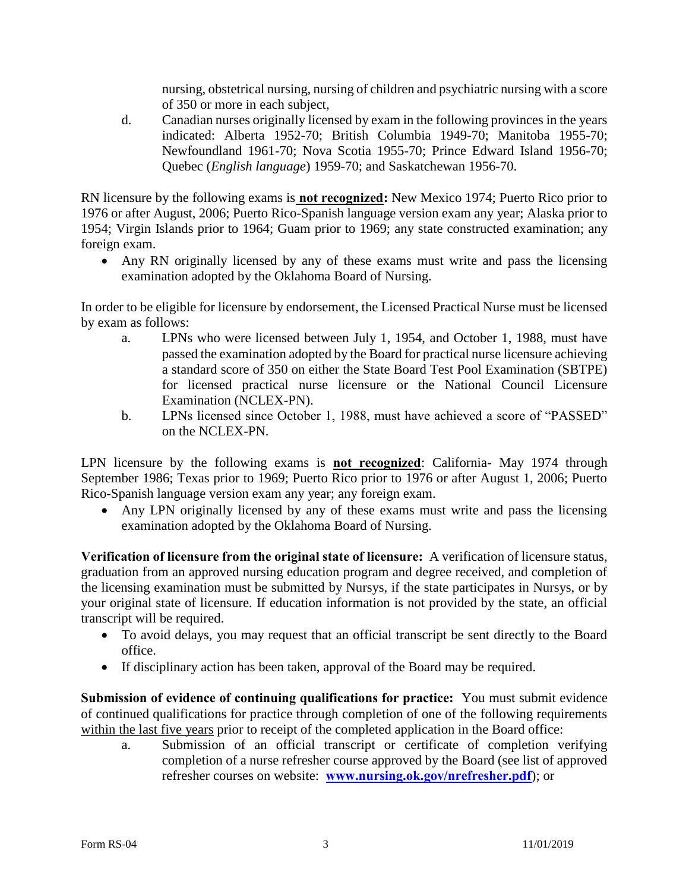nursing, obstetrical nursing, nursing of children and psychiatric nursing with a score of 350 or more in each subject,

d. Canadian nurses originally licensed by exam in the following provinces in the years indicated: Alberta 1952-70; British Columbia 1949-70; Manitoba 1955-70; Newfoundland 1961-70; Nova Scotia 1955-70; Prince Edward Island 1956-70; Quebec (*English language*) 1959-70; and Saskatchewan 1956-70.

RN licensure by the following exams is **not recognized:** New Mexico 1974; Puerto Rico prior to 1976 or after August, 2006; Puerto Rico-Spanish language version exam any year; Alaska prior to 1954; Virgin Islands prior to 1964; Guam prior to 1969; any state constructed examination; any foreign exam.

 Any RN originally licensed by any of these exams must write and pass the licensing examination adopted by the Oklahoma Board of Nursing.

In order to be eligible for licensure by endorsement, the Licensed Practical Nurse must be licensed by exam as follows:

- a. LPNs who were licensed between July 1, 1954, and October 1, 1988, must have passed the examination adopted by the Board for practical nurse licensure achieving a standard score of 350 on either the State Board Test Pool Examination (SBTPE) for licensed practical nurse licensure or the National Council Licensure Examination (NCLEX-PN).
- b. LPNs licensed since October 1, 1988, must have achieved a score of "PASSED" on the NCLEX-PN.

LPN licensure by the following exams is **not recognized**: California- May 1974 through September 1986; Texas prior to 1969; Puerto Rico prior to 1976 or after August 1, 2006; Puerto Rico-Spanish language version exam any year; any foreign exam.

 Any LPN originally licensed by any of these exams must write and pass the licensing examination adopted by the Oklahoma Board of Nursing.

**Verification of licensure from the original state of licensure:** A verification of licensure status, graduation from an approved nursing education program and degree received, and completion of the licensing examination must be submitted by Nursys, if the state participates in Nursys, or by your original state of licensure. If education information is not provided by the state, an official transcript will be required.

- To avoid delays, you may request that an official transcript be sent directly to the Board office.
- If disciplinary action has been taken, approval of the Board may be required.

**Submission of evidence of continuing qualifications for practice:** You must submit evidence of continued qualifications for practice through completion of one of the following requirements within the last five years prior to receipt of the completed application in the Board office:

a. Submission of an official transcript or certificate of completion verifying completion of a nurse refresher course approved by the Board (see list of approved refresher courses on website: **[www.nursing.ok.gov/nrefresher.pdf](http://www.nursing.ok.gov/nrefresher.pdf)**); or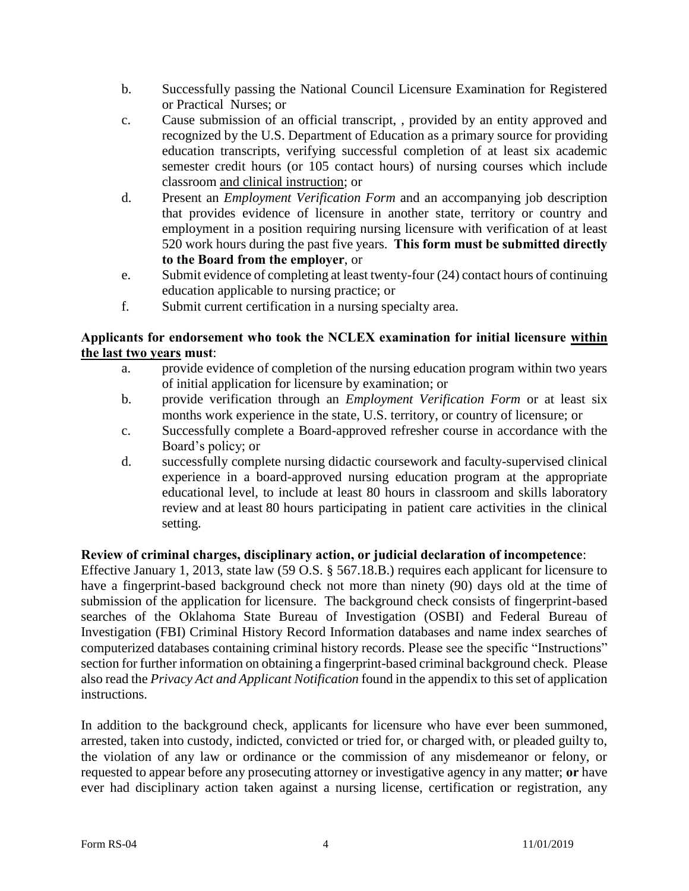- b. Successfully passing the National Council Licensure Examination for Registered or Practical Nurses; or
- c. Cause submission of an official transcript, , provided by an entity approved and recognized by the U.S. Department of Education as a primary source for providing education transcripts, verifying successful completion of at least six academic semester credit hours (or 105 contact hours) of nursing courses which include classroom and clinical instruction; or
- d. Present an *Employment Verification Form* and an accompanying job description that provides evidence of licensure in another state, territory or country and employment in a position requiring nursing licensure with verification of at least 520 work hours during the past five years. **This form must be submitted directly to the Board from the employer**, or
- e. Submit evidence of completing at least twenty-four (24) contact hours of continuing education applicable to nursing practice; or
- f. Submit current certification in a nursing specialty area.

### **Applicants for endorsement who took the NCLEX examination for initial licensure within the last two years must**:

- a. provide evidence of completion of the nursing education program within two years of initial application for licensure by examination; or
- b. provide verification through an *Employment Verification Form* or at least six months work experience in the state, U.S. territory, or country of licensure; or
- c. Successfully complete a Board-approved refresher course in accordance with the Board's policy; or
- d. successfully complete nursing didactic coursework and faculty-supervised clinical experience in a board-approved nursing education program at the appropriate educational level, to include at least 80 hours in classroom and skills laboratory review and at least 80 hours participating in patient care activities in the clinical setting.

### **Review of criminal charges, disciplinary action, or judicial declaration of incompetence**:

Effective January 1, 2013, state law (59 O.S. § 567.18.B.) requires each applicant for licensure to have a fingerprint-based background check not more than ninety (90) days old at the time of submission of the application for licensure. The background check consists of fingerprint-based searches of the Oklahoma State Bureau of Investigation (OSBI) and Federal Bureau of Investigation (FBI) Criminal History Record Information databases and name index searches of computerized databases containing criminal history records. Please see the specific "Instructions" section for further information on obtaining a fingerprint-based criminal background check. Please also read the *Privacy Act and Applicant Notification* found in the appendix to this set of application instructions.

In addition to the background check, applicants for licensure who have ever been summoned, arrested, taken into custody, indicted, convicted or tried for, or charged with, or pleaded guilty to, the violation of any law or ordinance or the commission of any misdemeanor or felony, or requested to appear before any prosecuting attorney or investigative agency in any matter; **or** have ever had disciplinary action taken against a nursing license, certification or registration, any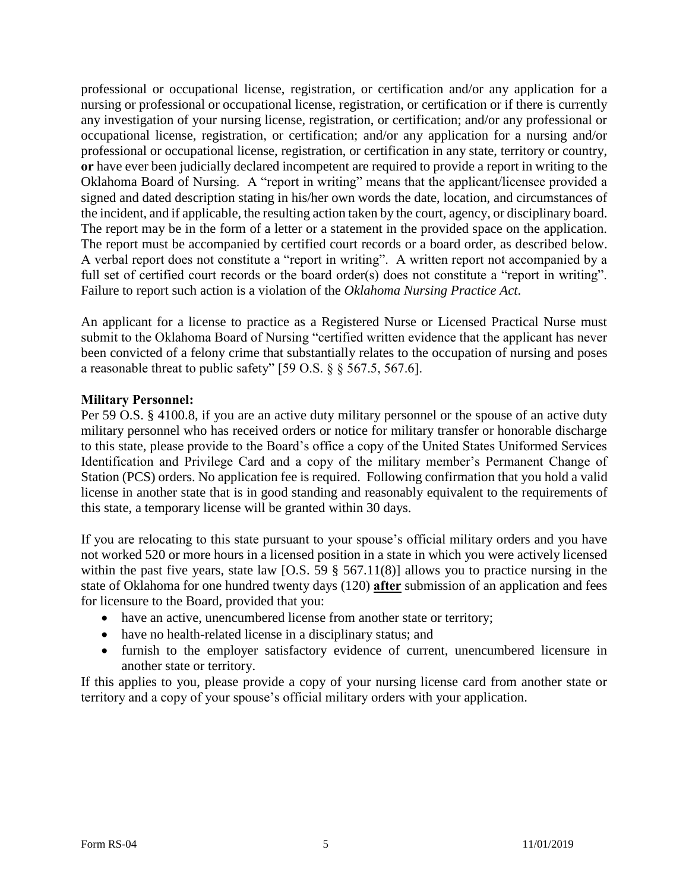professional or occupational license, registration, or certification and/or any application for a nursing or professional or occupational license, registration, or certification or if there is currently any investigation of your nursing license, registration, or certification; and/or any professional or occupational license, registration, or certification; and/or any application for a nursing and/or professional or occupational license, registration, or certification in any state, territory or country, **or** have ever been judicially declared incompetent are required to provide a report in writing to the Oklahoma Board of Nursing. A "report in writing" means that the applicant/licensee provided a signed and dated description stating in his/her own words the date, location, and circumstances of the incident, and if applicable, the resulting action taken by the court, agency, or disciplinary board. The report may be in the form of a letter or a statement in the provided space on the application. The report must be accompanied by certified court records or a board order, as described below. A verbal report does not constitute a "report in writing". A written report not accompanied by a full set of certified court records or the board order(s) does not constitute a "report in writing". Failure to report such action is a violation of the *Oklahoma Nursing Practice Act*.

An applicant for a license to practice as a Registered Nurse or Licensed Practical Nurse must submit to the Oklahoma Board of Nursing "certified written evidence that the applicant has never been convicted of a felony crime that substantially relates to the occupation of nursing and poses a reasonable threat to public safety" [59 O.S. § § 567.5, 567.6].

#### **Military Personnel:**

Per 59 O.S. § 4100.8, if you are an active duty military personnel or the spouse of an active duty military personnel who has received orders or notice for military transfer or honorable discharge to this state, please provide to the Board's office a copy of the United States Uniformed Services Identification and Privilege Card and a copy of the military member's Permanent Change of Station (PCS) orders. No application fee is required. Following confirmation that you hold a valid license in another state that is in good standing and reasonably equivalent to the requirements of this state, a temporary license will be granted within 30 days.

If you are relocating to this state pursuant to your spouse's official military orders and you have not worked 520 or more hours in a licensed position in a state in which you were actively licensed within the past five years, state law [O.S. 59  $\S$  567.11(8)] allows you to practice nursing in the state of Oklahoma for one hundred twenty days (120) **after** submission of an application and fees for licensure to the Board, provided that you:

- have an active, unencumbered license from another state or territory;
- have no health-related license in a disciplinary status; and
- furnish to the employer satisfactory evidence of current, unencumbered licensure in another state or territory.

If this applies to you, please provide a copy of your nursing license card from another state or territory and a copy of your spouse's official military orders with your application.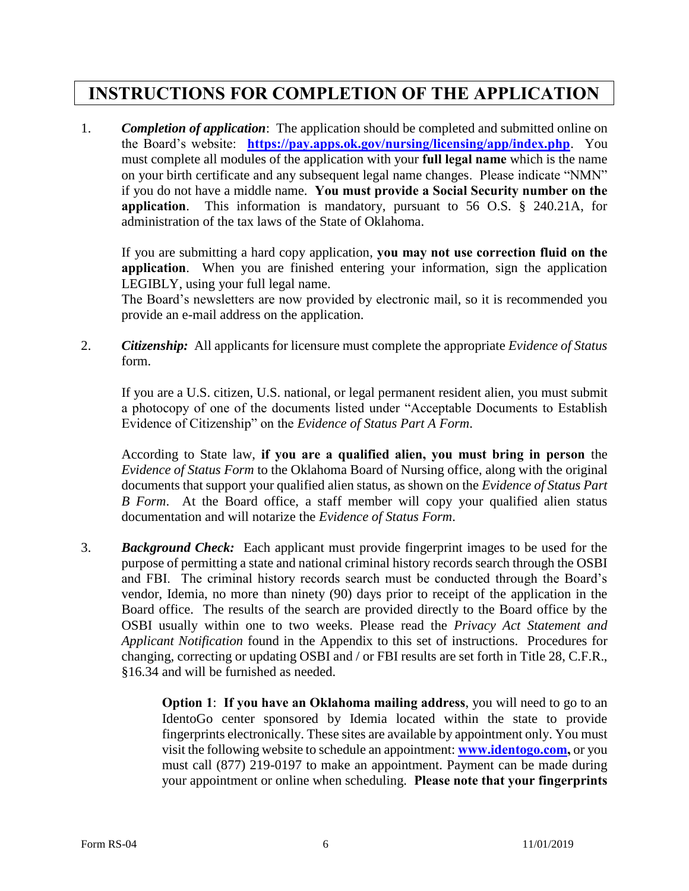## **INSTRUCTIONS FOR COMPLETION OF THE APPLICATION**

1. *Completion of application*: The application should be completed and submitted online on the Board's website: **<https://pay.apps.ok.gov/nursing/licensing/app/index.php>**. You must complete all modules of the application with your **full legal name** which is the name on your birth certificate and any subsequent legal name changes. Please indicate "NMN" if you do not have a middle name. **You must provide a Social Security number on the application**. This information is mandatory, pursuant to 56 O.S. § 240.21A, for administration of the tax laws of the State of Oklahoma.

If you are submitting a hard copy application, **you may not use correction fluid on the application**. When you are finished entering your information, sign the application LEGIBLY, using your full legal name.

The Board's newsletters are now provided by electronic mail, so it is recommended you provide an e-mail address on the application.

2. *Citizenship:* All applicants for licensure must complete the appropriate *Evidence of Status* form.

If you are a U.S. citizen, U.S. national, or legal permanent resident alien, you must submit a photocopy of one of the documents listed under "Acceptable Documents to Establish Evidence of Citizenship" on the *Evidence of Status Part A Form*.

According to State law, **if you are a qualified alien, you must bring in person** the *Evidence of Status Form* to the Oklahoma Board of Nursing office, along with the original documents that support your qualified alien status, as shown on the *Evidence of Status Part B Form*. At the Board office, a staff member will copy your qualified alien status documentation and will notarize the *Evidence of Status Form*.

3. *Background Check:* Each applicant must provide fingerprint images to be used for the purpose of permitting a state and national criminal history records search through the OSBI and FBI. The criminal history records search must be conducted through the Board's vendor, Idemia, no more than ninety (90) days prior to receipt of the application in the Board office. The results of the search are provided directly to the Board office by the OSBI usually within one to two weeks. Please read the *Privacy Act Statement and Applicant Notification* found in the Appendix to this set of instructions. Procedures for changing, correcting or updating OSBI and / or FBI results are set forth in Title 28, C.F.R., §16.34 and will be furnished as needed.

> **Option 1: If you have an Oklahoma mailing address, you will need to go to an** IdentoGo center sponsored by Idemia located within the state to provide fingerprints electronically. These sites are available by appointment only. You must visit the following website to schedule an appointment: **[www.identogo.com,](http://www.identogo.com/)** or you must call (877) 219-0197 to make an appointment. Payment can be made during your appointment or online when scheduling. **Please note that your fingerprints**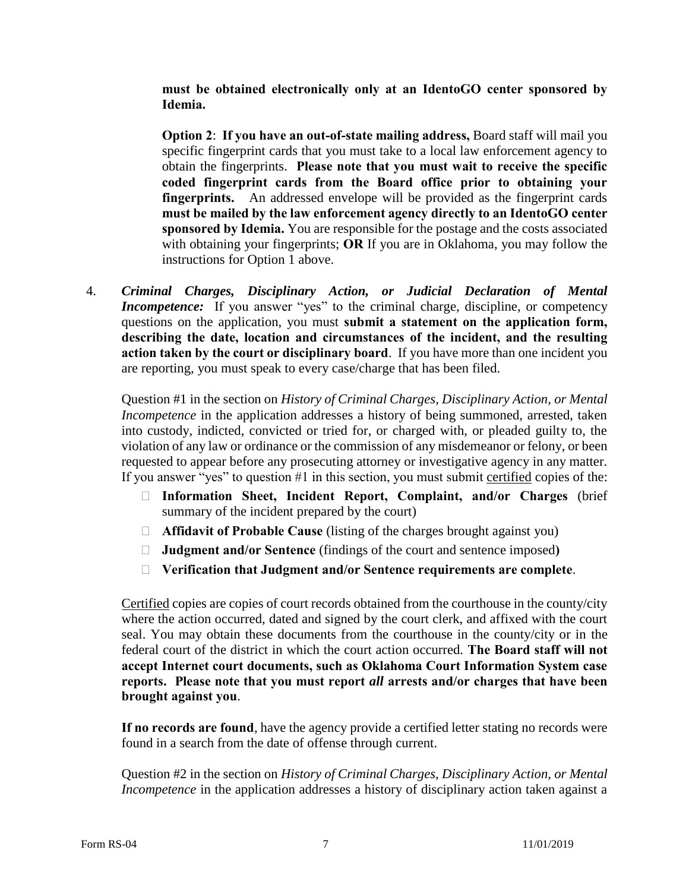**must be obtained electronically only at an IdentoGO center sponsored by Idemia.**

**Option 2**: **If you have an out-of-state mailing address,** Board staff will mail you specific fingerprint cards that you must take to a local law enforcement agency to obtain the fingerprints. **Please note that you must wait to receive the specific coded fingerprint cards from the Board office prior to obtaining your fingerprints.** An addressed envelope will be provided as the fingerprint cards **must be mailed by the law enforcement agency directly to an IdentoGO center sponsored by Idemia.** You are responsible for the postage and the costs associated with obtaining your fingerprints; **OR** If you are in Oklahoma, you may follow the instructions for Option 1 above.

4. *Criminal Charges, Disciplinary Action, or Judicial Declaration of Mental Incompetence:* If you answer "yes" to the criminal charge, discipline, or competency questions on the application, you must **submit a statement on the application form, describing the date, location and circumstances of the incident, and the resulting action taken by the court or disciplinary board**. If you have more than one incident you are reporting, you must speak to every case/charge that has been filed.

Question #1 in the section on *History of Criminal Charges, Disciplinary Action, or Mental Incompetence* in the application addresses a history of being summoned, arrested, taken into custody, indicted, convicted or tried for, or charged with, or pleaded guilty to, the violation of any law or ordinance or the commission of any misdemeanor or felony, or been requested to appear before any prosecuting attorney or investigative agency in any matter. If you answer "yes" to question #1 in this section, you must submit certified copies of the:

- **Information Sheet, Incident Report, Complaint, and/or Charges** (brief summary of the incident prepared by the court)
- **Affidavit of Probable Cause** (listing of the charges brought against you)
- **Judgment and/or Sentence** (findings of the court and sentence imposed**)**
- **Verification that Judgment and/or Sentence requirements are complete**.

Certified copies are copies of court records obtained from the courthouse in the county/city where the action occurred, dated and signed by the court clerk, and affixed with the court seal. You may obtain these documents from the courthouse in the county/city or in the federal court of the district in which the court action occurred. **The Board staff will not accept Internet court documents, such as Oklahoma Court Information System case reports. Please note that you must report** *all* **arrests and/or charges that have been brought against you**.

**If no records are found**, have the agency provide a certified letter stating no records were found in a search from the date of offense through current.

Question #2 in the section on *History of Criminal Charges, Disciplinary Action, or Mental Incompetence* in the application addresses a history of disciplinary action taken against a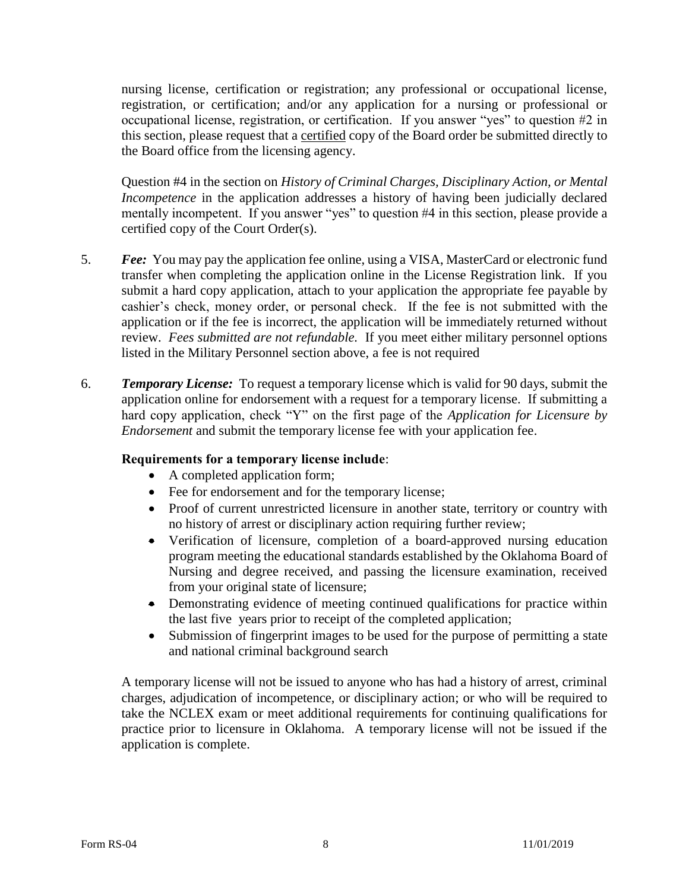nursing license, certification or registration; any professional or occupational license, registration, or certification; and/or any application for a nursing or professional or occupational license, registration, or certification. If you answer "yes" to question #2 in this section, please request that a certified copy of the Board order be submitted directly to the Board office from the licensing agency.

Question #4 in the section on *History of Criminal Charges, Disciplinary Action, or Mental Incompetence* in the application addresses a history of having been judicially declared mentally incompetent. If you answer "yes" to question #4 in this section, please provide a certified copy of the Court Order(s).

- 5. *Fee:* You may pay the application fee online, using a VISA, MasterCard or electronic fund transfer when completing the application online in the License Registration link. If you submit a hard copy application, attach to your application the appropriate fee payable by cashier's check, money order, or personal check. If the fee is not submitted with the application or if the fee is incorrect, the application will be immediately returned without review. *Fees submitted are not refundable.* If you meet either military personnel options listed in the Military Personnel section above, a fee is not required
- 6. *Temporary License:* To request a temporary license which is valid for 90 days, submit the application online for endorsement with a request for a temporary license. If submitting a hard copy application, check "Y" on the first page of the *Application for Licensure by Endorsement* and submit the temporary license fee with your application fee.

#### **Requirements for a temporary license include**:

- A completed application form;
- Fee for endorsement and for the temporary license;
- Proof of current unrestricted licensure in another state, territory or country with no history of arrest or disciplinary action requiring further review;
- Verification of licensure, completion of a board-approved nursing education program meeting the educational standards established by the Oklahoma Board of Nursing and degree received, and passing the licensure examination, received from your original state of licensure;
- Demonstrating evidence of meeting continued qualifications for practice within the last five years prior to receipt of the completed application;
- Submission of fingerprint images to be used for the purpose of permitting a state and national criminal background search

A temporary license will not be issued to anyone who has had a history of arrest, criminal charges, adjudication of incompetence, or disciplinary action; or who will be required to take the NCLEX exam or meet additional requirements for continuing qualifications for practice prior to licensure in Oklahoma. A temporary license will not be issued if the application is complete.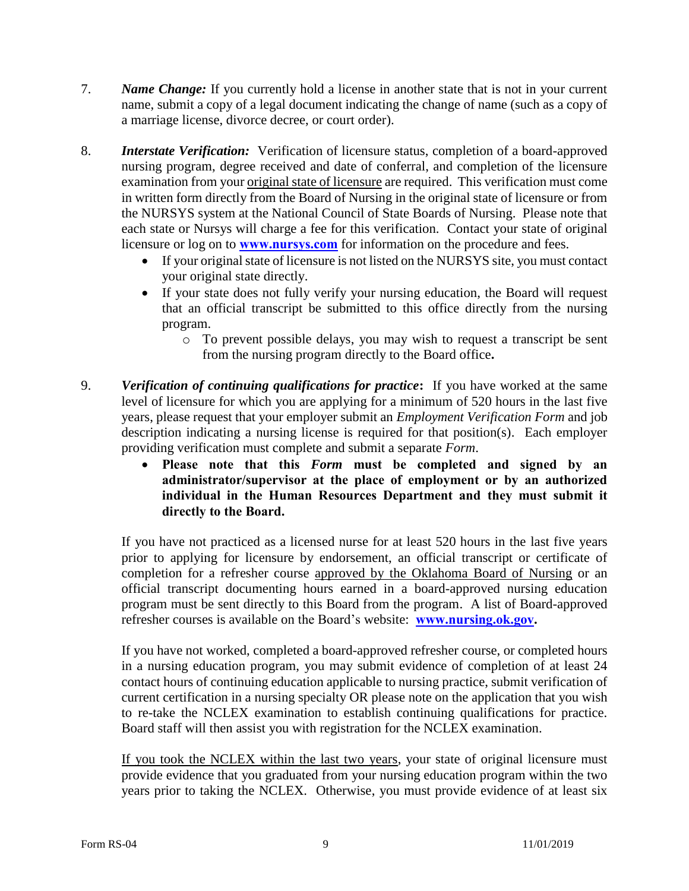- 7. *Name Change:* If you currently hold a license in another state that is not in your current name, submit a copy of a legal document indicating the change of name (such as a copy of a marriage license, divorce decree, or court order).
- 8. *Interstate Verification:* Verification of licensure status, completion of a board-approved nursing program, degree received and date of conferral, and completion of the licensure examination from your *original state of licensure* are required. This verification must come in written form directly from the Board of Nursing in the original state of licensure or from the NURSYS system at the National Council of State Boards of Nursing. Please note that each state or Nursys will charge a fee for this verification. Contact your state of original licensure or log on to **[www.nursys.com](http://www.nursys.com/)** for information on the procedure and fees.
	- If your original state of licensure is not listed on the NURSYS site, you must contact your original state directly.
	- If your state does not fully verify your nursing education, the Board will request that an official transcript be submitted to this office directly from the nursing program.
		- o To prevent possible delays, you may wish to request a transcript be sent from the nursing program directly to the Board office**.**
- 9. *Verification of continuing qualifications for practice***:** If you have worked at the same level of licensure for which you are applying for a minimum of 520 hours in the last five years, please request that your employer submit an *Employment Verification Form* and job description indicating a nursing license is required for that position(s). Each employer providing verification must complete and submit a separate *Form*.
	- **Please note that this** *Form* **must be completed and signed by an administrator/supervisor at the place of employment or by an authorized individual in the Human Resources Department and they must submit it directly to the Board.**

If you have not practiced as a licensed nurse for at least 520 hours in the last five years prior to applying for licensure by endorsement, an official transcript or certificate of completion for a refresher course approved by the Oklahoma Board of Nursing or an official transcript documenting hours earned in a board-approved nursing education program must be sent directly to this Board from the program. A list of Board-approved refresher courses is available on the Board's website: **[www.nursing.ok.gov.](http://www.ok.gov/nursing)** 

If you have not worked, completed a board-approved refresher course, or completed hours in a nursing education program, you may submit evidence of completion of at least 24 contact hours of continuing education applicable to nursing practice, submit verification of current certification in a nursing specialty OR please note on the application that you wish to re-take the NCLEX examination to establish continuing qualifications for practice. Board staff will then assist you with registration for the NCLEX examination.

If you took the NCLEX within the last two years, your state of original licensure must provide evidence that you graduated from your nursing education program within the two years prior to taking the NCLEX. Otherwise, you must provide evidence of at least six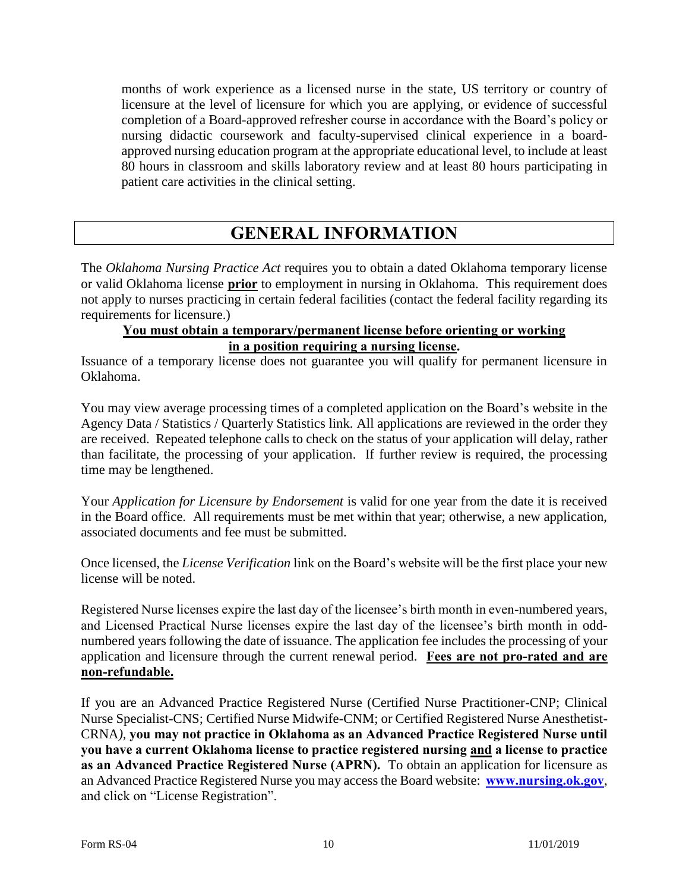months of work experience as a licensed nurse in the state, US territory or country of licensure at the level of licensure for which you are applying, or evidence of successful completion of a Board-approved refresher course in accordance with the Board's policy or nursing didactic coursework and faculty-supervised clinical experience in a boardapproved nursing education program at the appropriate educational level, to include at least 80 hours in classroom and skills laboratory review and at least 80 hours participating in patient care activities in the clinical setting.

### **GENERAL INFORMATION**

The *Oklahoma Nursing Practice Act* requires you to obtain a dated Oklahoma temporary license or valid Oklahoma license **prior** to employment in nursing in Oklahoma. This requirement does not apply to nurses practicing in certain federal facilities (contact the federal facility regarding its requirements for licensure.)

#### **You must obtain a temporary/permanent license before orienting or working in a position requiring a nursing license.**

Issuance of a temporary license does not guarantee you will qualify for permanent licensure in Oklahoma.

You may view average processing times of a completed application on the Board's website in the Agency Data / Statistics / Quarterly Statistics link. All applications are reviewed in the order they are received. Repeated telephone calls to check on the status of your application will delay, rather than facilitate, the processing of your application. If further review is required, the processing time may be lengthened.

Your *Application for Licensure by Endorsement* is valid for one year from the date it is received in the Board office. All requirements must be met within that year; otherwise, a new application, associated documents and fee must be submitted.

Once licensed, the *License Verification* link on the Board's website will be the first place your new license will be noted.

Registered Nurse licenses expire the last day of the licensee's birth month in even-numbered years, and Licensed Practical Nurse licenses expire the last day of the licensee's birth month in oddnumbered years following the date of issuance. The application fee includes the processing of your application and licensure through the current renewal period. **Fees are not pro-rated and are non-refundable.**

If you are an Advanced Practice Registered Nurse (Certified Nurse Practitioner-CNP; Clinical Nurse Specialist-CNS; Certified Nurse Midwife-CNM; or Certified Registered Nurse Anesthetist-CRNA*),* **you may not practice in Oklahoma as an Advanced Practice Registered Nurse until you have a current Oklahoma license to practice registered nursing and a license to practice as an Advanced Practice Registered Nurse (APRN).** To obtain an application for licensure as an Advanced Practice Registered Nurse you may access the Board website: **[www.nursing.ok.gov](http://www.ok.gov/nursing)**, and click on "License Registration".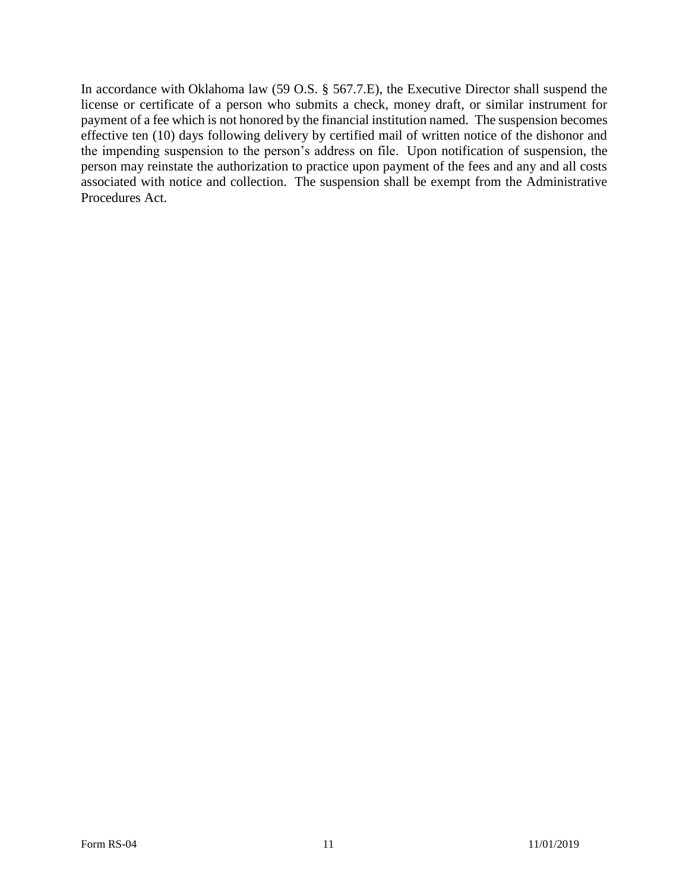In accordance with Oklahoma law (59 O.S. § 567.7.E), the Executive Director shall suspend the license or certificate of a person who submits a check, money draft, or similar instrument for payment of a fee which is not honored by the financial institution named. The suspension becomes effective ten (10) days following delivery by certified mail of written notice of the dishonor and the impending suspension to the person's address on file. Upon notification of suspension, the person may reinstate the authorization to practice upon payment of the fees and any and all costs associated with notice and collection. The suspension shall be exempt from the Administrative Procedures Act.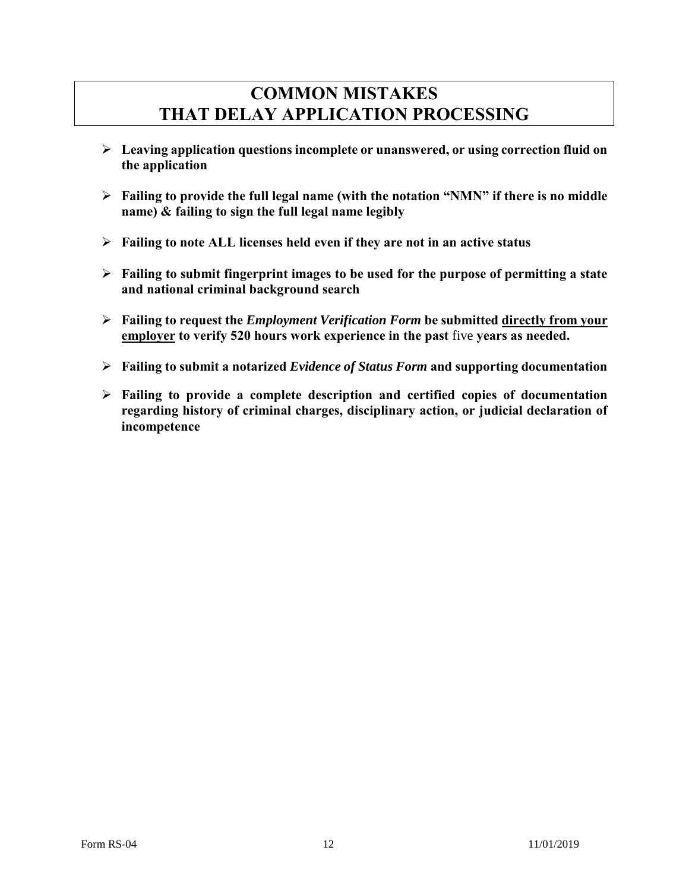### **COMMON MISTAKES THAT DELAY APPLICATION PROCESSING**

- **Leaving application questions incomplete or unanswered, or using correction fluid on the application**
- **Failing to provide the full legal name (with the notation "NMN" if there is no middle name) & failing to sign the full legal name legibly**
- **Failing to note ALL licenses held even if they are not in an active status**
- **Failing to submit fingerprint images to be used for the purpose of permitting a state and national criminal background search**
- **Failing to request the** *Employment Verification Form* **be submitted directly from your employer to verify 520 hours work experience in the past** five **years as needed.**
- **Failing to submit a notarized** *Evidence of Status Form* **and supporting documentation**
- **Failing to provide a complete description and certified copies of documentation regarding history of criminal charges, disciplinary action, or judicial declaration of incompetence**